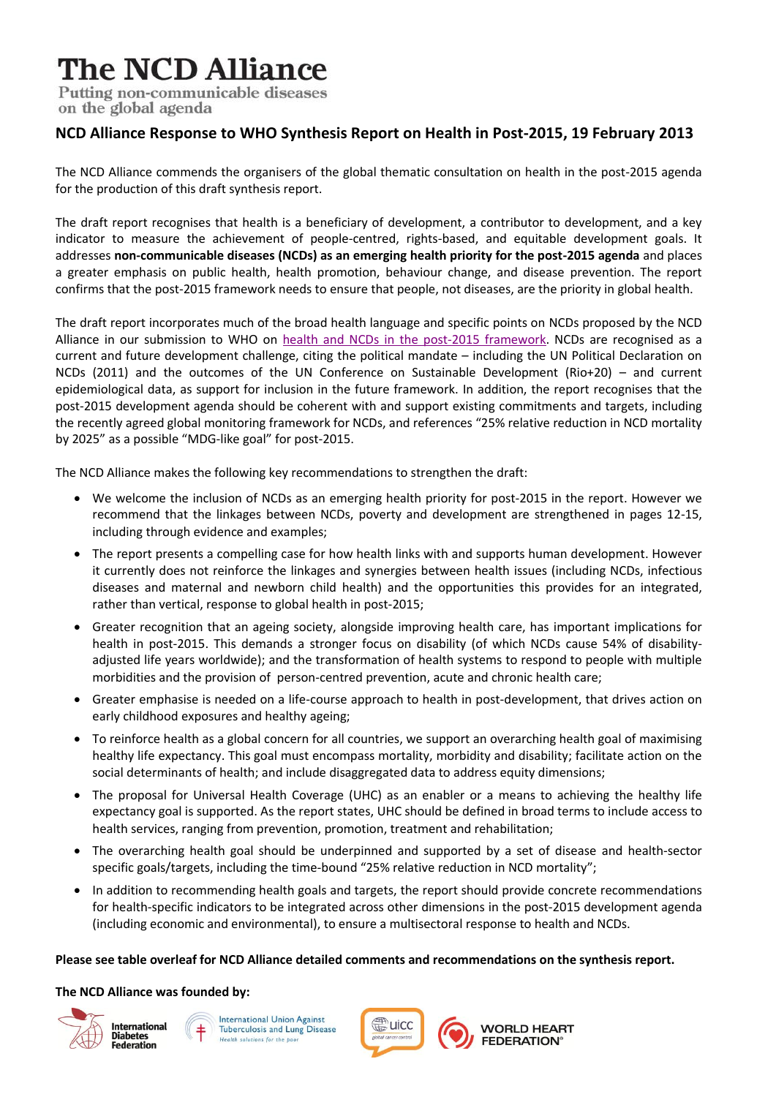# **The NCD Alliance**

Putting non-communicable diseases on the global agenda

## **NCD Alliance Response to WHO Synthesis Report on Health in Post-2015, 19 February 2013**

The NCD Alliance commends the organisers of the global thematic consultation on health in the post-2015 agenda for the production of this draft synthesis report.

The draft report recognises that health is a beneficiary of development, a contributor to development, and a key indicator to measure the achievement of people-centred, rights-based, and equitable development goals. It addresses **non-communicable diseases (NCDs) as an emerging health priority for the post-2015 agenda** and places a greater emphasis on public health, health promotion, behaviour change, and disease prevention. The report confirms that the post-2015 framework needs to ensure that people, not diseases, are the priority in global health.

The draft report incorporates much of the broad health language and specific points on NCDs proposed by the NCD Alliance in our submission to WHO on [health and NCDs in the post-2015 framework.](http://www.ncdalliance.org/un-global-thematic-consultations) NCDs are recognised as a current and future development challenge, citing the political mandate – including the UN Political Declaration on NCDs (2011) and the outcomes of the UN Conference on Sustainable Development (Rio+20) – and current epidemiological data, as support for inclusion in the future framework. In addition, the report recognises that the post-2015 development agenda should be coherent with and support existing commitments and targets, including the recently agreed global monitoring framework for NCDs, and references "25% relative reduction in NCD mortality by 2025" as a possible "MDG-like goal" for post-2015.

The NCD Alliance makes the following key recommendations to strengthen the draft:

- We welcome the inclusion of NCDs as an emerging health priority for post-2015 in the report. However we recommend that the linkages between NCDs, poverty and development are strengthened in pages 12-15, including through evidence and examples;
- The report presents a compelling case for how health links with and supports human development. However it currently does not reinforce the linkages and synergies between health issues (including NCDs, infectious diseases and maternal and newborn child health) and the opportunities this provides for an integrated, rather than vertical, response to global health in post-2015;
- Greater recognition that an ageing society, alongside improving health care, has important implications for health in post-2015. This demands a stronger focus on disability (of which NCDs cause 54% of disabilityadjusted life years worldwide); and the transformation of health systems to respond to people with multiple morbidities and the provision of person-centred prevention, acute and chronic health care;
- Greater emphasise is needed on a life-course approach to health in post-development, that drives action on early childhood exposures and healthy ageing;
- To reinforce health as a global concern for all countries, we support an overarching health goal of maximising healthy life expectancy. This goal must encompass mortality, morbidity and disability; facilitate action on the social determinants of health; and include disaggregated data to address equity dimensions;
- The proposal for Universal Health Coverage (UHC) as an enabler or a means to achieving the healthy life expectancy goal is supported. As the report states, UHC should be defined in broad terms to include access to health services, ranging from prevention, promotion, treatment and rehabilitation;
- The overarching health goal should be underpinned and supported by a set of disease and health-sector specific goals/targets, including the time-bound "25% relative reduction in NCD mortality";
- In addition to recommending health goals and targets, the report should provide concrete recommendations for health-specific indicators to be integrated across other dimensions in the post-2015 development agenda (including economic and environmental), to ensure a multisectoral response to health and NCDs.

#### **Please see table overleaf for NCD Alliance detailed comments and recommendations on the synthesis report.**

### **The NCD Alliance was founded by:**







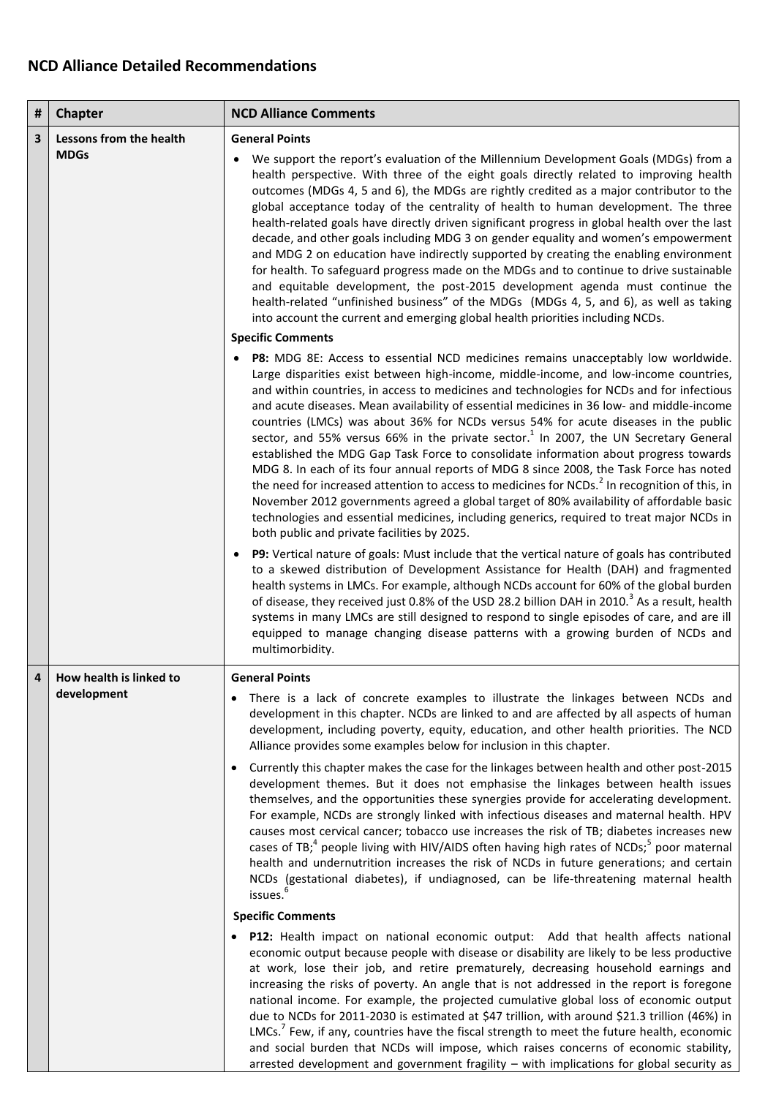## **NCD Alliance Detailed Recommendations**

| #              | <b>Chapter</b>                         | <b>NCD Alliance Comments</b>                                                                                                                                                                                                                                                                                                                                                                                                                                                                                                                                                                                                                                                                                                                                                                                                                                                                                                                                                                                                                                                                            |
|----------------|----------------------------------------|---------------------------------------------------------------------------------------------------------------------------------------------------------------------------------------------------------------------------------------------------------------------------------------------------------------------------------------------------------------------------------------------------------------------------------------------------------------------------------------------------------------------------------------------------------------------------------------------------------------------------------------------------------------------------------------------------------------------------------------------------------------------------------------------------------------------------------------------------------------------------------------------------------------------------------------------------------------------------------------------------------------------------------------------------------------------------------------------------------|
| 3              | Lessons from the health<br><b>MDGs</b> | <b>General Points</b>                                                                                                                                                                                                                                                                                                                                                                                                                                                                                                                                                                                                                                                                                                                                                                                                                                                                                                                                                                                                                                                                                   |
|                |                                        | We support the report's evaluation of the Millennium Development Goals (MDGs) from a<br>health perspective. With three of the eight goals directly related to improving health<br>outcomes (MDGs 4, 5 and 6), the MDGs are rightly credited as a major contributor to the<br>global acceptance today of the centrality of health to human development. The three<br>health-related goals have directly driven significant progress in global health over the last<br>decade, and other goals including MDG 3 on gender equality and women's empowerment<br>and MDG 2 on education have indirectly supported by creating the enabling environment<br>for health. To safeguard progress made on the MDGs and to continue to drive sustainable<br>and equitable development, the post-2015 development agenda must continue the<br>health-related "unfinished business" of the MDGs (MDGs 4, 5, and 6), as well as taking<br>into account the current and emerging global health priorities including NCDs.                                                                                                |
|                |                                        | <b>Specific Comments</b>                                                                                                                                                                                                                                                                                                                                                                                                                                                                                                                                                                                                                                                                                                                                                                                                                                                                                                                                                                                                                                                                                |
|                |                                        | P8: MDG 8E: Access to essential NCD medicines remains unacceptably low worldwide.<br>Large disparities exist between high-income, middle-income, and low-income countries,<br>and within countries, in access to medicines and technologies for NCDs and for infectious<br>and acute diseases. Mean availability of essential medicines in 36 low- and middle-income<br>countries (LMCs) was about 36% for NCDs versus 54% for acute diseases in the public<br>sector, and 55% versus 66% in the private sector. <sup>1</sup> In 2007, the UN Secretary General<br>established the MDG Gap Task Force to consolidate information about progress towards<br>MDG 8. In each of its four annual reports of MDG 8 since 2008, the Task Force has noted<br>the need for increased attention to access to medicines for NCDs. <sup>2</sup> In recognition of this, in<br>November 2012 governments agreed a global target of 80% availability of affordable basic<br>technologies and essential medicines, including generics, required to treat major NCDs in<br>both public and private facilities by 2025. |
|                |                                        | P9: Vertical nature of goals: Must include that the vertical nature of goals has contributed<br>to a skewed distribution of Development Assistance for Health (DAH) and fragmented<br>health systems in LMCs. For example, although NCDs account for 60% of the global burden<br>of disease, they received just 0.8% of the USD 28.2 billion DAH in 2010. <sup>3</sup> As a result, health<br>systems in many LMCs are still designed to respond to single episodes of care, and are ill<br>equipped to manage changing disease patterns with a growing burden of NCDs and<br>multimorbidity.                                                                                                                                                                                                                                                                                                                                                                                                                                                                                                           |
| $\overline{4}$ | How health is linked to<br>development | <b>General Points</b>                                                                                                                                                                                                                                                                                                                                                                                                                                                                                                                                                                                                                                                                                                                                                                                                                                                                                                                                                                                                                                                                                   |
|                |                                        | There is a lack of concrete examples to illustrate the linkages between NCDs and<br>development in this chapter. NCDs are linked to and are affected by all aspects of human<br>development, including poverty, equity, education, and other health priorities. The NCD<br>Alliance provides some examples below for inclusion in this chapter.                                                                                                                                                                                                                                                                                                                                                                                                                                                                                                                                                                                                                                                                                                                                                         |
|                |                                        | • Currently this chapter makes the case for the linkages between health and other post-2015<br>development themes. But it does not emphasise the linkages between health issues<br>themselves, and the opportunities these synergies provide for accelerating development.<br>For example, NCDs are strongly linked with infectious diseases and maternal health. HPV<br>causes most cervical cancer; tobacco use increases the risk of TB; diabetes increases new<br>cases of TB; <sup>4</sup> people living with HIV/AIDS often having high rates of NCDs; <sup>5</sup> poor maternal<br>health and undernutrition increases the risk of NCDs in future generations; and certain<br>NCDs (gestational diabetes), if undiagnosed, can be life-threatening maternal health<br>issues. <sup>6</sup><br><b>Specific Comments</b>                                                                                                                                                                                                                                                                          |
|                |                                        |                                                                                                                                                                                                                                                                                                                                                                                                                                                                                                                                                                                                                                                                                                                                                                                                                                                                                                                                                                                                                                                                                                         |
|                |                                        | • P12: Health impact on national economic output: Add that health affects national<br>economic output because people with disease or disability are likely to be less productive<br>at work, lose their job, and retire prematurely, decreasing household earnings and<br>increasing the risks of poverty. An angle that is not addressed in the report is foregone<br>national income. For example, the projected cumulative global loss of economic output<br>due to NCDs for 2011-2030 is estimated at \$47 trillion, with around \$21.3 trillion (46%) in<br>LMCs. <sup>7</sup> Few, if any, countries have the fiscal strength to meet the future health, economic<br>and social burden that NCDs will impose, which raises concerns of economic stability,<br>arrested development and government fragility $-$ with implications for global security as                                                                                                                                                                                                                                          |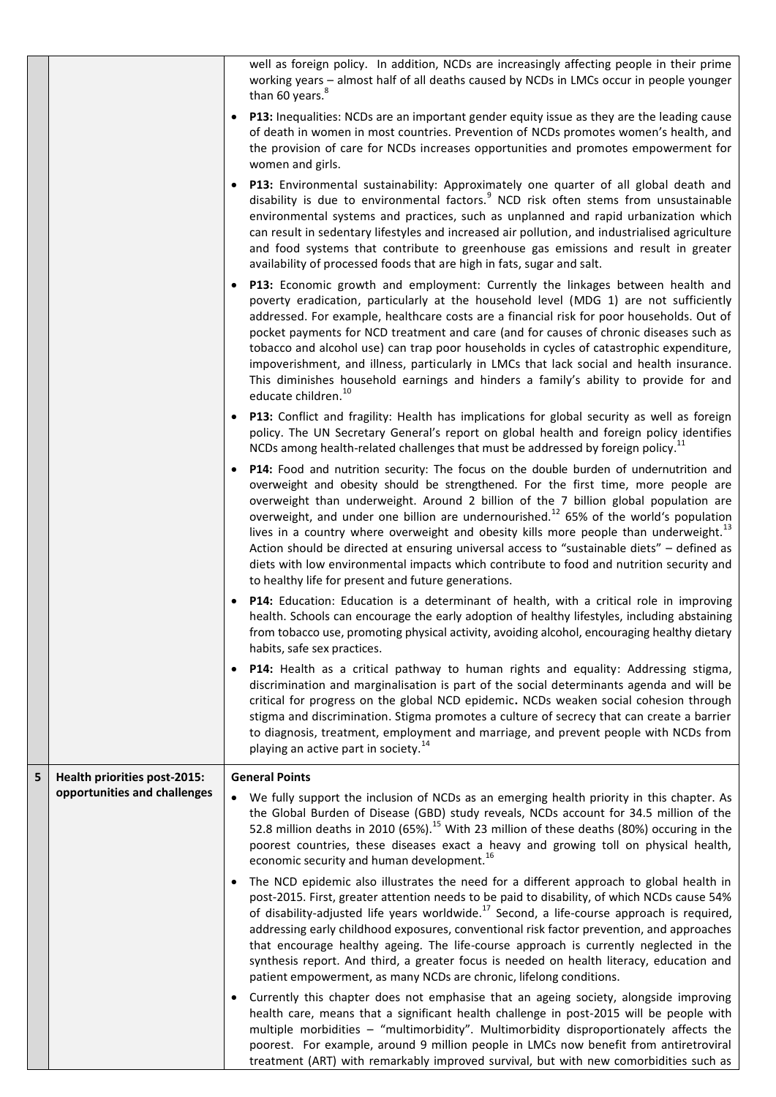|   |                                     |           | well as foreign policy. In addition, NCDs are increasingly affecting people in their prime<br>working years - almost half of all deaths caused by NCDs in LMCs occur in people younger<br>than 60 years.                                                                                                                                                                                                                                                                                                                                                                                                                                                                                                                        |
|---|-------------------------------------|-----------|---------------------------------------------------------------------------------------------------------------------------------------------------------------------------------------------------------------------------------------------------------------------------------------------------------------------------------------------------------------------------------------------------------------------------------------------------------------------------------------------------------------------------------------------------------------------------------------------------------------------------------------------------------------------------------------------------------------------------------|
|   |                                     |           | <b>P13:</b> Inequalities: NCDs are an important gender equity issue as they are the leading cause<br>of death in women in most countries. Prevention of NCDs promotes women's health, and<br>the provision of care for NCDs increases opportunities and promotes empowerment for<br>women and girls.                                                                                                                                                                                                                                                                                                                                                                                                                            |
|   |                                     | $\bullet$ | P13: Environmental sustainability: Approximately one quarter of all global death and<br>disability is due to environmental factors. <sup>9</sup> NCD risk often stems from unsustainable<br>environmental systems and practices, such as unplanned and rapid urbanization which<br>can result in sedentary lifestyles and increased air pollution, and industrialised agriculture<br>and food systems that contribute to greenhouse gas emissions and result in greater<br>availability of processed foods that are high in fats, sugar and salt.                                                                                                                                                                               |
|   |                                     |           | <b>P13:</b> Economic growth and employment: Currently the linkages between health and<br>poverty eradication, particularly at the household level (MDG 1) are not sufficiently<br>addressed. For example, healthcare costs are a financial risk for poor households. Out of<br>pocket payments for NCD treatment and care (and for causes of chronic diseases such as<br>tobacco and alcohol use) can trap poor households in cycles of catastrophic expenditure,<br>impoverishment, and illness, particularly in LMCs that lack social and health insurance.<br>This diminishes household earnings and hinders a family's ability to provide for and<br>educate children. <sup>10</sup>                                        |
|   |                                     |           | P13: Conflict and fragility: Health has implications for global security as well as foreign<br>policy. The UN Secretary General's report on global health and foreign policy identifies<br>NCDs among health-related challenges that must be addressed by foreign policy. <sup>11</sup>                                                                                                                                                                                                                                                                                                                                                                                                                                         |
|   |                                     |           | P14: Food and nutrition security: The focus on the double burden of undernutrition and<br>overweight and obesity should be strengthened. For the first time, more people are<br>overweight than underweight. Around 2 billion of the 7 billion global population are<br>overweight, and under one billion are undernourished. <sup>12</sup> 65% of the world's population<br>lives in a country where overweight and obesity kills more people than underweight. <sup>13</sup><br>Action should be directed at ensuring universal access to "sustainable diets" - defined as<br>diets with low environmental impacts which contribute to food and nutrition security and<br>to healthy life for present and future generations. |
|   |                                     |           | P14: Education: Education is a determinant of health, with a critical role in improving<br>health. Schools can encourage the early adoption of healthy lifestyles, including abstaining<br>from tobacco use, promoting physical activity, avoiding alcohol, encouraging healthy dietary<br>habits, safe sex practices.                                                                                                                                                                                                                                                                                                                                                                                                          |
|   |                                     | $\bullet$ | P14: Health as a critical pathway to human rights and equality: Addressing stigma,<br>discrimination and marginalisation is part of the social determinants agenda and will be<br>critical for progress on the global NCD epidemic. NCDs weaken social cohesion through<br>stigma and discrimination. Stigma promotes a culture of secrecy that can create a barrier<br>to diagnosis, treatment, employment and marriage, and prevent people with NCDs from<br>playing an active part in society. <sup>14</sup>                                                                                                                                                                                                                 |
| 5 | <b>Health priorities post-2015:</b> |           | <b>General Points</b>                                                                                                                                                                                                                                                                                                                                                                                                                                                                                                                                                                                                                                                                                                           |
|   | opportunities and challenges        |           | We fully support the inclusion of NCDs as an emerging health priority in this chapter. As<br>the Global Burden of Disease (GBD) study reveals, NCDs account for 34.5 million of the<br>52.8 million deaths in 2010 (65%). <sup>15</sup> With 23 million of these deaths (80%) occuring in the<br>poorest countries, these diseases exact a heavy and growing toll on physical health,<br>economic security and human development. <sup>16</sup>                                                                                                                                                                                                                                                                                 |
|   |                                     |           | The NCD epidemic also illustrates the need for a different approach to global health in<br>post-2015. First, greater attention needs to be paid to disability, of which NCDs cause 54%<br>of disability-adjusted life years worldwide. <sup>17</sup> Second, a life-course approach is required,<br>addressing early childhood exposures, conventional risk factor prevention, and approaches<br>that encourage healthy ageing. The life-course approach is currently neglected in the<br>synthesis report. And third, a greater focus is needed on health literacy, education and<br>patient empowerment, as many NCDs are chronic, lifelong conditions.                                                                       |
|   |                                     | $\bullet$ | Currently this chapter does not emphasise that an ageing society, alongside improving<br>health care, means that a significant health challenge in post-2015 will be people with<br>multiple morbidities - "multimorbidity". Multimorbidity disproportionately affects the<br>poorest. For example, around 9 million people in LMCs now benefit from antiretroviral<br>treatment (ART) with remarkably improved survival, but with new comorbidities such as                                                                                                                                                                                                                                                                    |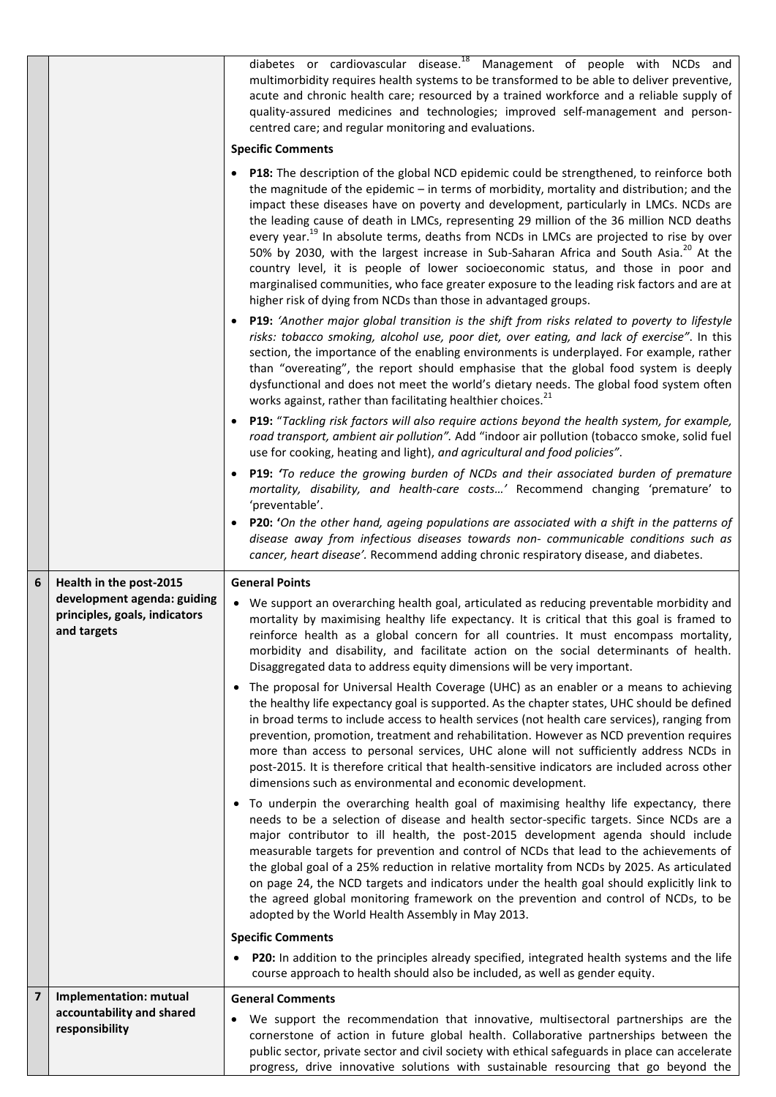|                         |                                                                             | diabetes or cardiovascular disease. <sup>18</sup> Management of people with NCDs and<br>multimorbidity requires health systems to be transformed to be able to deliver preventive,<br>acute and chronic health care; resourced by a trained workforce and a reliable supply of<br>quality-assured medicines and technologies; improved self-management and person-<br>centred care; and regular monitoring and evaluations.                                                                                                                                                                                                                                                                                                                                                                                                                  |
|-------------------------|-----------------------------------------------------------------------------|----------------------------------------------------------------------------------------------------------------------------------------------------------------------------------------------------------------------------------------------------------------------------------------------------------------------------------------------------------------------------------------------------------------------------------------------------------------------------------------------------------------------------------------------------------------------------------------------------------------------------------------------------------------------------------------------------------------------------------------------------------------------------------------------------------------------------------------------|
|                         |                                                                             | <b>Specific Comments</b>                                                                                                                                                                                                                                                                                                                                                                                                                                                                                                                                                                                                                                                                                                                                                                                                                     |
|                         |                                                                             | P18: The description of the global NCD epidemic could be strengthened, to reinforce both<br>the magnitude of the epidemic - in terms of morbidity, mortality and distribution; and the<br>impact these diseases have on poverty and development, particularly in LMCs. NCDs are<br>the leading cause of death in LMCs, representing 29 million of the 36 million NCD deaths<br>every year. <sup>19</sup> In absolute terms, deaths from NCDs in LMCs are projected to rise by over<br>50% by 2030, with the largest increase in Sub-Saharan Africa and South Asia. <sup>20</sup> At the<br>country level, it is people of lower socioeconomic status, and those in poor and<br>marginalised communities, who face greater exposure to the leading risk factors and are at<br>higher risk of dying from NCDs than those in advantaged groups. |
|                         |                                                                             | <b>P19:</b> 'Another major global transition is the shift from risks related to poverty to lifestyle<br>risks: tobacco smoking, alcohol use, poor diet, over eating, and lack of exercise". In this<br>section, the importance of the enabling environments is underplayed. For example, rather<br>than "overeating", the report should emphasise that the global food system is deeply<br>dysfunctional and does not meet the world's dietary needs. The global food system often<br>works against, rather than facilitating healthier choices. <sup>21</sup>                                                                                                                                                                                                                                                                               |
|                         |                                                                             | P19: "Tackling risk factors will also require actions beyond the health system, for example,<br>road transport, ambient air pollution". Add "indoor air pollution (tobacco smoke, solid fuel<br>use for cooking, heating and light), and agricultural and food policies".                                                                                                                                                                                                                                                                                                                                                                                                                                                                                                                                                                    |
|                         |                                                                             | <b>P19:</b> 'To reduce the growing burden of NCDs and their associated burden of premature<br>mortality, disability, and health-care costs' Recommend changing 'premature' to<br>'preventable'.                                                                                                                                                                                                                                                                                                                                                                                                                                                                                                                                                                                                                                              |
|                         |                                                                             | <b>P20:</b> 'On the other hand, ageing populations are associated with a shift in the patterns of<br>disease away from infectious diseases towards non- communicable conditions such as<br>cancer, heart disease'. Recommend adding chronic respiratory disease, and diabetes.                                                                                                                                                                                                                                                                                                                                                                                                                                                                                                                                                               |
|                         |                                                                             |                                                                                                                                                                                                                                                                                                                                                                                                                                                                                                                                                                                                                                                                                                                                                                                                                                              |
| 6                       | Health in the post-2015                                                     | <b>General Points</b>                                                                                                                                                                                                                                                                                                                                                                                                                                                                                                                                                                                                                                                                                                                                                                                                                        |
|                         | development agenda: guiding<br>principles, goals, indicators<br>and targets | • We support an overarching health goal, articulated as reducing preventable morbidity and<br>mortality by maximising healthy life expectancy. It is critical that this goal is framed to<br>reinforce health as a global concern for all countries. It must encompass mortality,<br>morbidity and disability, and facilitate action on the social determinants of health.<br>Disaggregated data to address equity dimensions will be very important.                                                                                                                                                                                                                                                                                                                                                                                        |
|                         |                                                                             | The proposal for Universal Health Coverage (UHC) as an enabler or a means to achieving<br>the healthy life expectancy goal is supported. As the chapter states, UHC should be defined<br>in broad terms to include access to health services (not health care services), ranging from<br>prevention, promotion, treatment and rehabilitation. However as NCD prevention requires<br>more than access to personal services, UHC alone will not sufficiently address NCDs in<br>post-2015. It is therefore critical that health-sensitive indicators are included across other<br>dimensions such as environmental and economic development.                                                                                                                                                                                                   |
|                         |                                                                             | To underpin the overarching health goal of maximising healthy life expectancy, there<br>needs to be a selection of disease and health sector-specific targets. Since NCDs are a<br>major contributor to ill health, the post-2015 development agenda should include<br>measurable targets for prevention and control of NCDs that lead to the achievements of<br>the global goal of a 25% reduction in relative mortality from NCDs by 2025. As articulated<br>on page 24, the NCD targets and indicators under the health goal should explicitly link to<br>the agreed global monitoring framework on the prevention and control of NCDs, to be<br>adopted by the World Health Assembly in May 2013.                                                                                                                                        |
|                         |                                                                             | <b>Specific Comments</b>                                                                                                                                                                                                                                                                                                                                                                                                                                                                                                                                                                                                                                                                                                                                                                                                                     |
|                         |                                                                             | P20: In addition to the principles already specified, integrated health systems and the life<br>$\bullet$<br>course approach to health should also be included, as well as gender equity.                                                                                                                                                                                                                                                                                                                                                                                                                                                                                                                                                                                                                                                    |
| $\overline{\mathbf{z}}$ | Implementation: mutual<br>accountability and shared                         | <b>General Comments</b><br>We support the recommendation that innovative, multisectoral partnerships are the<br>٠                                                                                                                                                                                                                                                                                                                                                                                                                                                                                                                                                                                                                                                                                                                            |

progress, drive innovative solutions with sustainable resourcing that go beyond the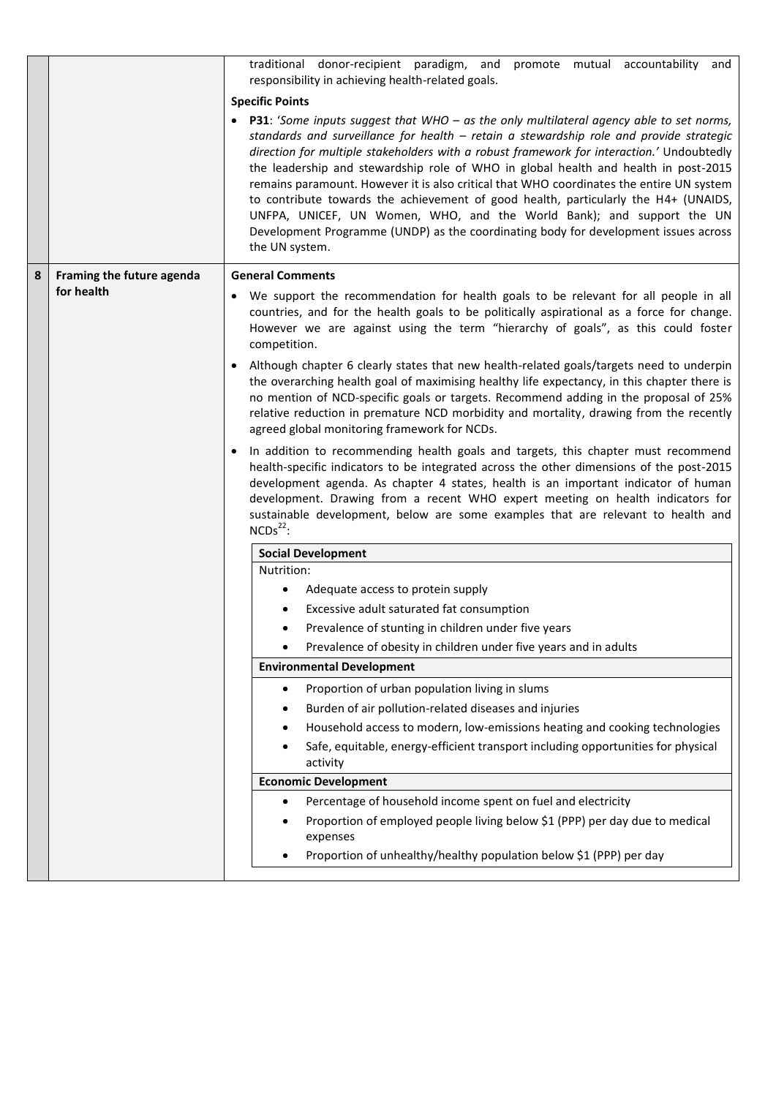|   |                           | traditional donor-recipient paradigm, and promote mutual accountability and<br>responsibility in achieving health-related goals.                                                                                                                                                                                                                                                                                                                                                                                                                                                                                                                                                                                                                    |  |  |
|---|---------------------------|-----------------------------------------------------------------------------------------------------------------------------------------------------------------------------------------------------------------------------------------------------------------------------------------------------------------------------------------------------------------------------------------------------------------------------------------------------------------------------------------------------------------------------------------------------------------------------------------------------------------------------------------------------------------------------------------------------------------------------------------------------|--|--|
|   |                           | <b>Specific Points</b>                                                                                                                                                                                                                                                                                                                                                                                                                                                                                                                                                                                                                                                                                                                              |  |  |
|   |                           | <b>P31</b> : 'Some inputs suggest that WHO – as the only multilateral agency able to set norms,<br>standards and surveillance for health - retain a stewardship role and provide strategic<br>direction for multiple stakeholders with a robust framework for interaction.' Undoubtedly<br>the leadership and stewardship role of WHO in global health and health in post-2015<br>remains paramount. However it is also critical that WHO coordinates the entire UN system<br>to contribute towards the achievement of good health, particularly the H4+ (UNAIDS,<br>UNFPA, UNICEF, UN Women, WHO, and the World Bank); and support the UN<br>Development Programme (UNDP) as the coordinating body for development issues across<br>the UN system. |  |  |
| 8 | Framing the future agenda | <b>General Comments</b>                                                                                                                                                                                                                                                                                                                                                                                                                                                                                                                                                                                                                                                                                                                             |  |  |
|   | for health                | We support the recommendation for health goals to be relevant for all people in all<br>٠<br>countries, and for the health goals to be politically aspirational as a force for change.<br>However we are against using the term "hierarchy of goals", as this could foster<br>competition.                                                                                                                                                                                                                                                                                                                                                                                                                                                           |  |  |
|   |                           | Although chapter 6 clearly states that new health-related goals/targets need to underpin<br>the overarching health goal of maximising healthy life expectancy, in this chapter there is<br>no mention of NCD-specific goals or targets. Recommend adding in the proposal of 25%<br>relative reduction in premature NCD morbidity and mortality, drawing from the recently<br>agreed global monitoring framework for NCDs.                                                                                                                                                                                                                                                                                                                           |  |  |
|   |                           | In addition to recommending health goals and targets, this chapter must recommend<br>health-specific indicators to be integrated across the other dimensions of the post-2015<br>development agenda. As chapter 4 states, health is an important indicator of human<br>development. Drawing from a recent WHO expert meeting on health indicators for<br>sustainable development, below are some examples that are relevant to health and<br>$NCDs22$ :                                                                                                                                                                                                                                                                                             |  |  |
|   |                           | <b>Social Development</b>                                                                                                                                                                                                                                                                                                                                                                                                                                                                                                                                                                                                                                                                                                                           |  |  |
|   |                           | Nutrition:                                                                                                                                                                                                                                                                                                                                                                                                                                                                                                                                                                                                                                                                                                                                          |  |  |
|   |                           | Adequate access to protein supply                                                                                                                                                                                                                                                                                                                                                                                                                                                                                                                                                                                                                                                                                                                   |  |  |
|   |                           | Excessive adult saturated fat consumption                                                                                                                                                                                                                                                                                                                                                                                                                                                                                                                                                                                                                                                                                                           |  |  |
|   |                           | Prevalence of stunting in children under five years<br>$\bullet$                                                                                                                                                                                                                                                                                                                                                                                                                                                                                                                                                                                                                                                                                    |  |  |
|   |                           | Prevalence of obesity in children under five years and in adults                                                                                                                                                                                                                                                                                                                                                                                                                                                                                                                                                                                                                                                                                    |  |  |
|   |                           | <b>Environmental Development</b>                                                                                                                                                                                                                                                                                                                                                                                                                                                                                                                                                                                                                                                                                                                    |  |  |
|   |                           | Proportion of urban population living in slums<br>٠                                                                                                                                                                                                                                                                                                                                                                                                                                                                                                                                                                                                                                                                                                 |  |  |
|   |                           | Burden of air pollution-related diseases and injuries                                                                                                                                                                                                                                                                                                                                                                                                                                                                                                                                                                                                                                                                                               |  |  |
|   |                           | Household access to modern, low-emissions heating and cooking technologies<br>Safe, equitable, energy-efficient transport including opportunities for physical<br>activity                                                                                                                                                                                                                                                                                                                                                                                                                                                                                                                                                                          |  |  |
|   |                           | <b>Economic Development</b>                                                                                                                                                                                                                                                                                                                                                                                                                                                                                                                                                                                                                                                                                                                         |  |  |
|   |                           | Percentage of household income spent on fuel and electricity                                                                                                                                                                                                                                                                                                                                                                                                                                                                                                                                                                                                                                                                                        |  |  |
|   |                           | Proportion of employed people living below \$1 (PPP) per day due to medical<br>expenses                                                                                                                                                                                                                                                                                                                                                                                                                                                                                                                                                                                                                                                             |  |  |
|   |                           | Proportion of unhealthy/healthy population below \$1 (PPP) per day                                                                                                                                                                                                                                                                                                                                                                                                                                                                                                                                                                                                                                                                                  |  |  |